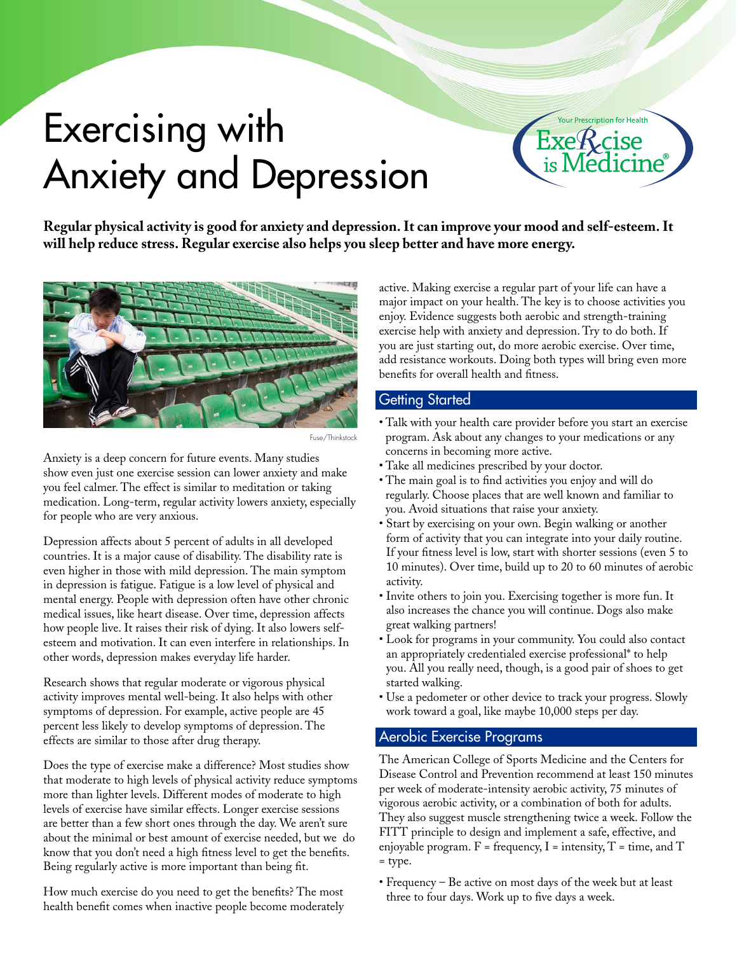# Exercising with Anxiety and Depression



**Regular physical activity is good for anxiety and depression. It can improve your mood and self-esteem. It will help reduce stress. Regular exercise also helps you sleep better and have more energy.**



Fuse/Thinkstock

Anxiety is a deep concern for future events. Many studies show even just one exercise session can lower anxiety and make you feel calmer. The effect is similar to meditation or taking medication. Long-term, regular activity lowers anxiety, especially for people who are very anxious.

Depression affects about 5 percent of adults in all developed countries. It is a major cause of disability. The disability rate is even higher in those with mild depression. The main symptom in depression is fatigue. Fatigue is a low level of physical and mental energy. People with depression often have other chronic medical issues, like heart disease. Over time, depression affects how people live. It raises their risk of dying. It also lowers selfesteem and motivation. It can even interfere in relationships. In other words, depression makes everyday life harder.

Research shows that regular moderate or vigorous physical activity improves mental well-being. It also helps with other symptoms of depression. For example, active people are 45 percent less likely to develop symptoms of depression. The effects are similar to those after drug therapy.

Does the type of exercise make a difference? Most studies show that moderate to high levels of physical activity reduce symptoms more than lighter levels. Different modes of moderate to high levels of exercise have similar effects. Longer exercise sessions are better than a few short ones through the day. We aren't sure about the minimal or best amount of exercise needed, but we do know that you don't need a high fitness level to get the benefits. Being regularly active is more important than being fit.

How much exercise do you need to get the benefits? The most health benefit comes when inactive people become moderately active. Making exercise a regular part of your life can have a major impact on your health. The key is to choose activities you enjoy. Evidence suggests both aerobic and strength-training exercise help with anxiety and depression. Try to do both. If you are just starting out, do more aerobic exercise. Over time, add resistance workouts. Doing both types will bring even more benefits for overall health and fitness.

## **Getting Started**

- Talk with your health care provider before you start an exercise program. Ask about any changes to your medications or any concerns in becoming more active.
- Take all medicines prescribed by your doctor.
- The main goal is to find activities you enjoy and will do regularly. Choose places that are well known and familiar to you. Avoid situations that raise your anxiety.
- Start by exercising on your own. Begin walking or another form of activity that you can integrate into your daily routine. If your fitness level is low, start with shorter sessions (even 5 to 10 minutes). Over time, build up to 20 to 60 minutes of aerobic activity.
- Invite others to join you. Exercising together is more fun. It also increases the chance you will continue. Dogs also make great walking partners!
- Look for programs in your community. You could also contact an appropriately credentialed exercise professional\* to help you. All you really need, though, is a good pair of shoes to get started walking.
- Use a pedometer or other device to track your progress. Slowly work toward a goal, like maybe 10,000 steps per day.

### Aerobic Exercise Programs

The American College of Sports Medicine and the Centers for Disease Control and Prevention recommend at least 150 minutes per week of moderate-intensity aerobic activity, 75 minutes of vigorous aerobic activity, or a combination of both for adults. They also suggest muscle strengthening twice a week. Follow the FITT principle to design and implement a safe, effective, and enjoyable program.  $F = \text{frequency}, I = \text{intensity}, T = \text{time}, \text{and } T$ = type.

• Frequency – Be active on most days of the week but at least three to four days. Work up to five days a week.